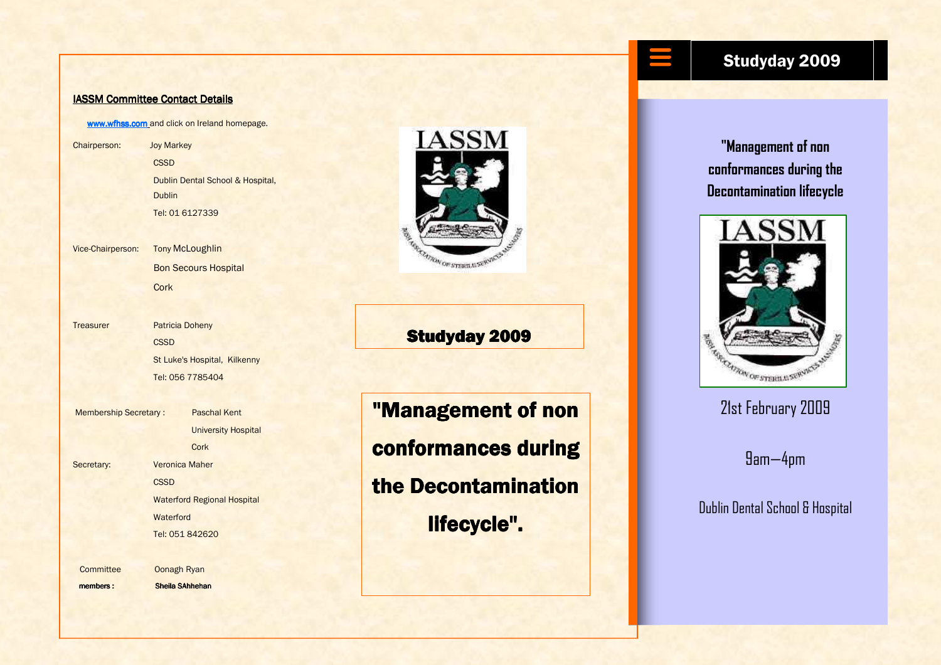## IASSM Committee Contact Details

www.wfhss.com and click on Ireland homepage.

Chairperson: Joy Markey **CSSD**  Dublin Dental School & Hospital, Dublin Tel: 01 6127339

Vice-Chairperson: **Tony McLoughlin** Bon Secours Hospital **Cork** 

Treasurer Patricia Doheny **CSSD**  St Luke's Hospital, Kilkenny Tel: 056 7785404

Membership Secretary : Paschal Kent University Hospital **Cork** Secretary: **Veronica Maher CSSD**  Waterford Regional Hospital **Waterford** Tel: 051 842620

Committee Oonagh Ryan

members : Sheila SAhhehan



**Studyday 2009** 

"Management of non conformances during the Decontamination lifecycle".

## Studyday 2009

"Management of non conformances during the Decontamination lifecycle



## 21st February 2009

9am—4pm

Dublin Dental School & Hospital